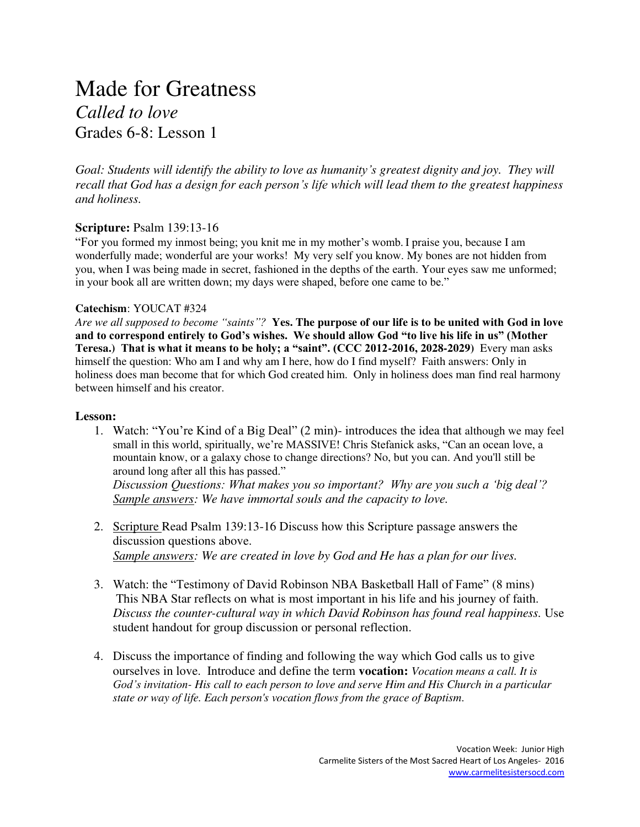# Made for Greatness *Called to love*  Grades 6-8: Lesson 1

*Goal: Students will identify the ability to love as humanity's greatest dignity and joy. They will recall that God has a design for each person's life which will lead them to the greatest happiness and holiness.* 

### **Scripture:** Psalm 139:13-16

"For you formed my inmost being; you knit me in my mother's womb. I praise you, because I am wonderfully made; wonderful are your works! My very self you know. My bones are not hidden from you, when I was being made in secret, fashioned in the depths of the earth. Your eyes saw me unformed; in your book all are written down; my days were shaped, before one came to be."

#### **Catechism**: YOUCAT #324

*Are we all supposed to become "saints"?* **Yes. The purpose of our life is to be united with God in love and to correspond entirely to God's wishes. We should allow God "to live his life in us" (Mother Teresa.) That is what it means to be holy; a "saint". (CCC 2012-2016, 2028-2029)** Every man asks himself the question: Who am I and why am I here, how do I find myself? Faith answers: Only in holiness does man become that for which God created him. Only in holiness does man find real harmony between himself and his creator.

#### **Lesson:**

1. Watch: "You're Kind of a Big Deal" (2 min)- introduces the idea that although we may feel small in this world, spiritually, we're MASSIVE! Chris Stefanick asks, "Can an ocean love, a mountain know, or a galaxy chose to change directions? No, but you can. And you'll still be around long after all this has passed."

*Discussion Questions: What makes you so important? Why are you such a 'big deal'? Sample answers: We have immortal souls and the capacity to love.*

- 2. Scripture Read Psalm 139:13-16 Discuss how this Scripture passage answers the discussion questions above. *Sample answers: We are created in love by God and He has a plan for our lives.*
- 3. Watch: the "Testimony of David Robinson NBA Basketball Hall of Fame" (8 mins) This NBA Star reflects on what is most important in his life and his journey of faith. *Discuss the counter-cultural way in which David Robinson has found real happiness.* Use student handout for group discussion or personal reflection.
- 4. Discuss the importance of finding and following the way which God calls us to give ourselves in love. Introduce and define the term **vocation:** *Vocation means a call. It is God's invitation- His call to each person to love and serve Him and His Church in a particular state or way of life. Each person's vocation flows from the grace of Baptism*.